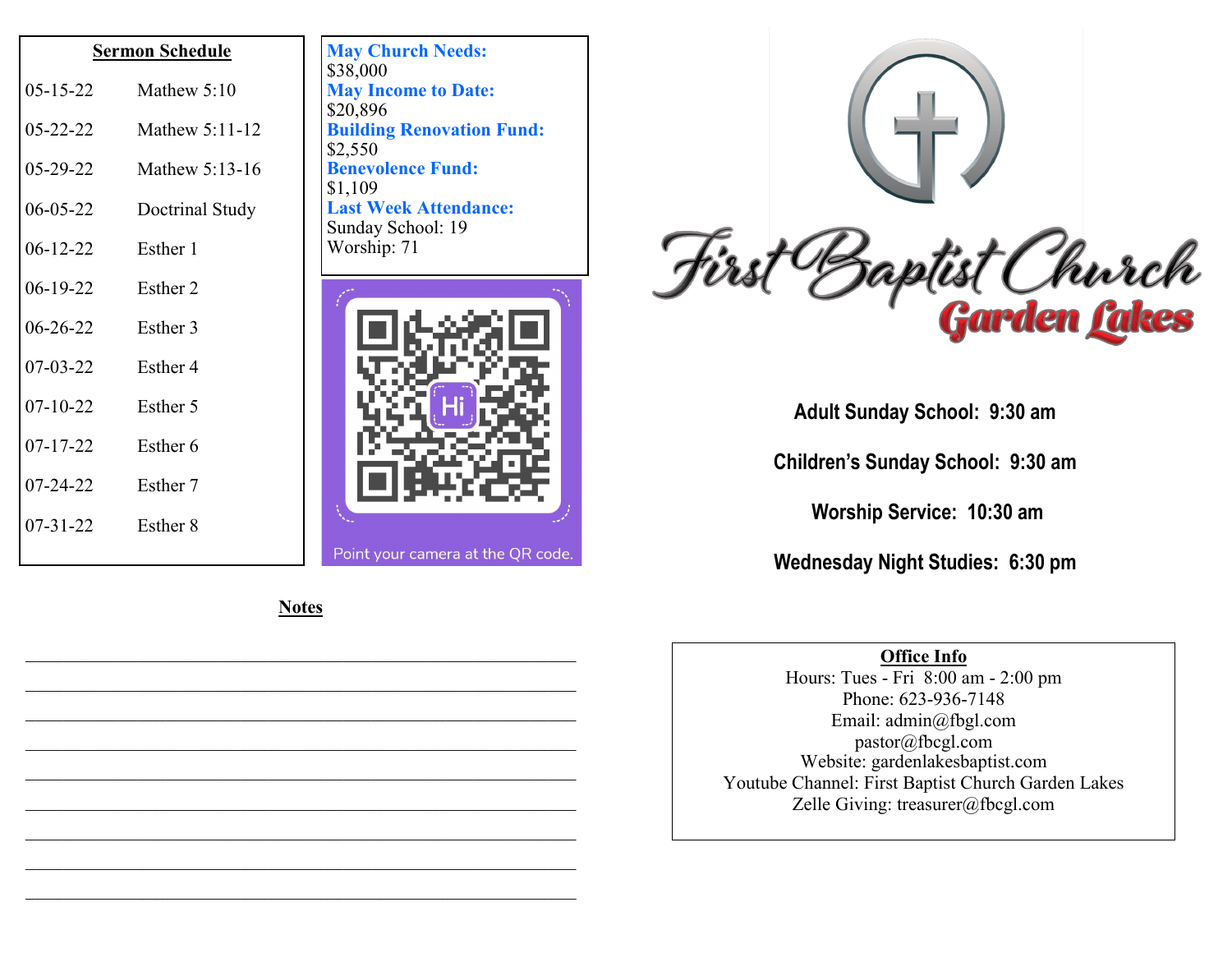| <b>Sermon Schedule</b> |                 |
|------------------------|-----------------|
| $05 - 15 - 22$         | Mathew 5:10     |
| $05 - 22 - 22$         | Mathew 5:11-12  |
| $05 - 29 - 22$         | Mathew 5:13-16  |
| $06 - 05 - 22$         | Doctrinal Study |
| $06 - 12 - 22$         | Esther 1        |
| 06-19-22               | Esther 2        |
| $06 - 26 - 22$         | Esther 3        |
| $07 - 03 - 22$         | Esther 4        |
| $07 - 10 - 22$         | Esther 5        |
| $07 - 17 - 22$         | Esther 6        |
| 07-24-22               | Esther 7        |
| $07 - 31 - 22$         | Esther 8        |
|                        |                 |

**May Church Needs:**  \$38,000 **May Income to Date:**  \$20,896 **Building Renovation Fund:** \$2,550 **Benevolence Fund:** \$1,109 **Last Week Attendance:** Sunday School: 19 Worship: 71





**Adult Sunday School: 9:30 am**

**Children's Sunday School: 9:30 am**

**Worship Service: 10:30 am**

**Wednesday Night Studies: 6:30 pm**

## **Office Info**

Hours: Tues - Fri 8:00 am - 2:00 pm Phone: 623-936-7148 Email: admin@fbgl.com pastor@fbcgl.com Website: gardenlakesbaptist.com Youtube Channel: First Baptist Church Garden Lakes Zelle Giving: treasurer@fbcgl.com

**Notes**

\_\_\_\_\_\_\_\_\_\_\_\_\_\_\_\_\_\_\_\_\_\_\_\_\_\_\_\_\_\_\_\_\_\_\_\_\_\_\_\_\_\_\_\_\_\_\_\_\_\_\_\_\_\_\_\_\_\_\_